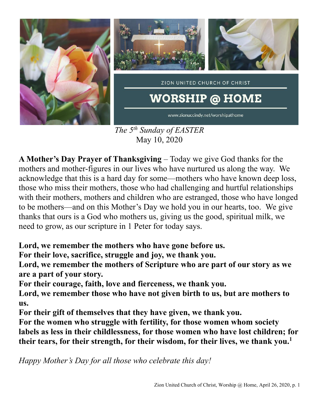

*The 5 th Sunday of EASTER* May 10, 2020

**A Mother's Day Prayer of Thanksgiving** – Today we give God thanks for the mothers and mother-figures in our lives who have nurtured us along the way. We acknowledge that this is a hard day for some—mothers who have known deep loss, those who miss their mothers, those who had challenging and hurtful relationships with their mothers, mothers and children who are estranged, those who have longed to be mothers—and on this Mother's Day we hold you in our hearts, too. We give thanks that ours is a God who mothers us, giving us the good, spiritual milk, we need to grow, as our scripture in 1 Peter for today says.

**Lord, we remember the mothers who have gone before us. For their love, sacrifice, struggle and joy, we thank you. Lord, we remember the mothers of Scripture who are part of our story as we are a part of your story. For their courage, faith, love and fierceness, we thank you. Lord, we remember those who have not given birth to us, but are mothers to us. For their gift of themselves that they have given, we thank you. For the women who struggle with fertility, for those women whom society labels as less in their childlessness, for those women who have lost children; for** 

**their tears, for their strength, for their wisdom, for their lives, we thank you.<sup>1</sup>**

*Happy Mother's Day for all those who celebrate this day!*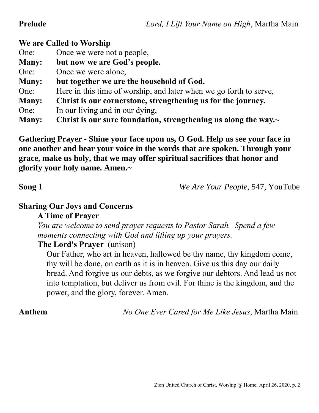## **We are Called to Worship**

- One: Once we were not a people,
- **Many: but now we are God's people.**
- One: Once we were alone,
- **Many: but together we are the household of God.**
- One: Here in this time of worship, and later when we go forth to serve,
- **Many: Christ is our cornerstone, strengthening us for the journey.**
- One: In our living and in our dying,
- **Many: Christ is our sure foundation, strengthening us along the way.~**

**Gathering Prayer** - **Shine your face upon us, O God. Help us see your face in one another and hear your voice in the words that are spoken. Through your grace, make us holy, that we may offer spiritual sacrifices that honor and glorify your holy name. Amen.~**

**Song 1** *We Are Your People*, 547, YouTube

# **Sharing Our Joys and Concerns A Time of Prayer**

*You are welcome to send prayer requests to Pastor Sarah. Spend a few moments connecting with God and lifting up your prayers.*

# **The Lord's Prayer** (unison)

Our Father, who art in heaven, hallowed be thy name, thy kingdom come, thy will be done, on earth as it is in heaven. Give us this day our daily bread. And forgive us our debts, as we forgive our debtors. And lead us not into temptation, but deliver us from evil. For thine is the kingdom, and the power, and the glory, forever. Amen.

**Anthem** *No One Ever Cared for Me Like Jesus*, Martha Main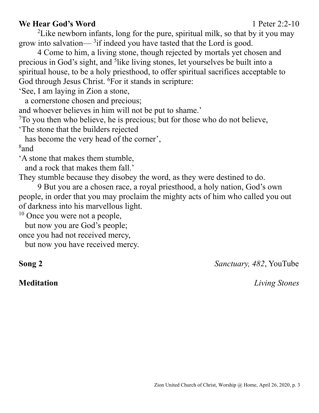### **We Hear God's Word** 1 Peter 2:2-10

<sup>2</sup> Like newborn infants, long for the pure, spiritual milk, so that by it you may grow into salvation— $3$ if indeed you have tasted that the Lord is good.

4 Come to him, a living stone, though rejected by mortals yet chosen and precious in God's sight, and <sup>5</sup>like living stones, let yourselves be built into a spiritual house, to be a holy priesthood, to offer spiritual sacrifices acceptable to God through Jesus Christ. <sup>6</sup>For it stands in scripture:

'See, I am laying in Zion a stone,

a cornerstone chosen and precious;

and whoever believes in him will not be put to shame.'

<sup>7</sup>To you then who believe, he is precious; but for those who do not believe,

'The stone that the builders rejected

has become the very head of the corner',

8 and

'A stone that makes them stumble,

and a rock that makes them fall.'

They stumble because they disobey the word, as they were destined to do.

9 But you are a chosen race, a royal priesthood, a holy nation, God's own people, in order that you may proclaim the mighty acts of him who called you out of darkness into his marvellous light.

 $10$  Once you were not a people,

 but now you are God's people; once you had not received mercy,

but now you have received mercy.

**Song 2** *Sanctuary, 482*, YouTube

**Meditation** *Living Stones*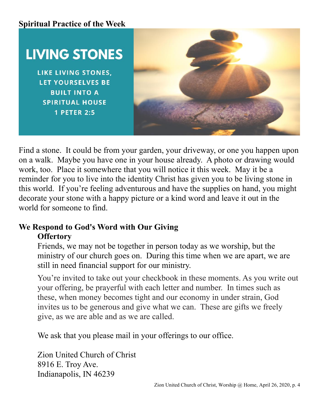# **Spiritual Practice of the Week**



Find a stone. It could be from your garden, your driveway, or one you happen upon on a walk. Maybe you have one in your house already. A photo or drawing would work, too. Place it somewhere that you will notice it this week. May it be a reminder for you to live into the identity Christ has given you to be living stone in this world. If you're feeling adventurous and have the supplies on hand, you might decorate your stone with a happy picture or a kind word and leave it out in the world for someone to find.

### **We Respond to God's Word with Our Giving Offertory**

Friends, we may not be together in person today as we worship, but the ministry of our church goes on. During this time when we are apart, we are still in need financial support for our ministry.

You're invited to take out your checkbook in these moments. As you write out your offering, be prayerful with each letter and number. In times such as these, when money becomes tight and our economy in under strain, God invites us to be generous and give what we can. These are gifts we freely give, as we are able and as we are called.

We ask that you please mail in your offerings to our office.

Zion United Church of Christ 8916 E. Troy Ave. Indianapolis, IN 46239